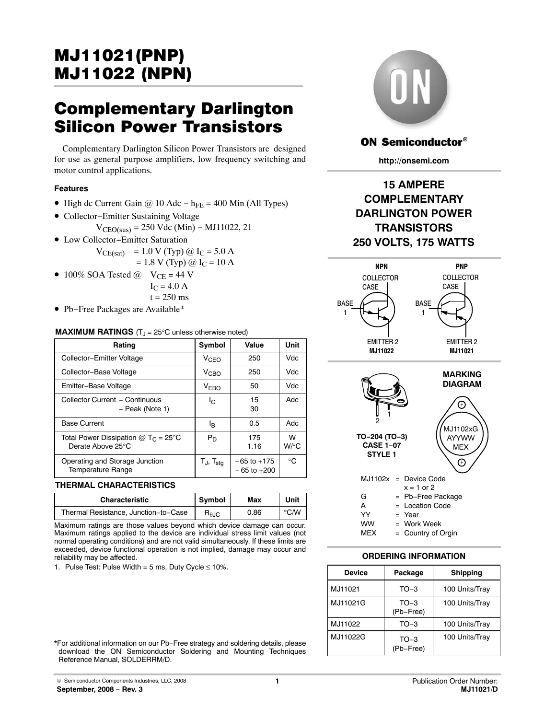## <span id="page-0-0"></span>MJ11021(PNP) <u>May 2022 (NPN)</u>

# Complementary Darlington

Silicon Power Transistors Complementary Darlington Silicon Power Transistors are designed for use as general purpose amplifiers, low frequency switching and motor control applications.

#### **Features**

- High dc Current Gain @ 10 Adc h<sub>FE</sub> = 400 Min (All Types)
- Collector−Emitter Sustaining Voltage  $V_{\text{CEO(sus)}} = 250 \text{ Vdc (Min)} - \text{MJ11022}, 21$
- Low Collector−Emitter Saturation

$$
V_{CE(sat)} = 1.0 V (Typ) @ IC = 5.0 A= 1.8 V (Typ) @ IC = 10 A
$$

• 100% SOA Tested  $\omega$  V<sub>CE</sub> = 44 V  $I_C = 4.0 A$ 

 $t = 250$  ms

• Pb−Free Packages are Available\*

#### **MAXIMUM RATINGS** (T<sub>J</sub> = 25°C unless otherwise noted)

| Rating                                                              | Symbol               | Value                              | Unit         |
|---------------------------------------------------------------------|----------------------|------------------------------------|--------------|
| Collector-Emitter Voltage                                           | V <sub>CEO</sub>     | 250                                | Vdc          |
| Collector-Base Voltage                                              | V <sub>CHO</sub>     | 250                                | Vdc.         |
| Emitter-Base Voltage                                                | <b>VEBO</b>          | 50                                 | Vdc          |
| Collector Current - Continuous<br>- Peak (Note 1)                   | Ic.                  | 15<br>30                           | Adc          |
| <b>Base Current</b>                                                 | lв.                  | 0.5                                | Adc          |
| Total Power Dissipation @ $T_c = 25^{\circ}$ C<br>Derate Above 25°C | $P_D$                | 175<br>1.16                        | W<br>$W$ /°C |
| Operating and Storage Junction<br><b>Temperature Range</b>          | Tj, T <sub>sta</sub> | $-65$ to $+175$<br>$-65$ to $+200$ | $^{\circ}$ C |

#### **THERMAL CHARACTERISTICS**

| <b>Characteristic</b>                | Symbol                 | Max  | Unit |
|--------------------------------------|------------------------|------|------|
| Thermal Resistance, Junction-to-Case | $R_{\theta \text{JC}}$ | 0.86 | °C⁄W |

Maximum ratings are those values beyond which device damage can occur. Maximum ratings applied to the device are individual stress limit values (not normal operating conditions) and are not valid simultaneously. If these limits are exceeded, device functional operation is not implied, damage may occur and reliability may be affected.

1. Pulse Test: Pulse Width = 5 ms, Duty Cycle  $\leq 10\%$ .



#### **ON Semiconductor®**

**http://onsemi.com**

### **15 AMPERE COMPLEMENTARY DARLINGTON POWER TRANSISTORS 250 VOLTS, 175 WATTS**



#### **ORDERING INFORMATION**

| <b>Device</b> | Package             | <b>Shipping</b> |
|---------------|---------------------|-----------------|
| MJ11021       | $TO-3$              | 100 Units/Tray  |
| MJ11021G      | $TO-3$<br>(Pb-Free) | 100 Units/Tray  |
| MJ11022       | $TO-3$              | 100 Units/Tray  |
| MJ11022G      | $TO-3$<br>(Pb-Free) | 100 Units/Tray  |

\*For additional information on our Pb−Free strategy and soldering details, please download the ON Semiconductor Soldering and Mounting Techniques Reference Manual, SOLDERRM/D.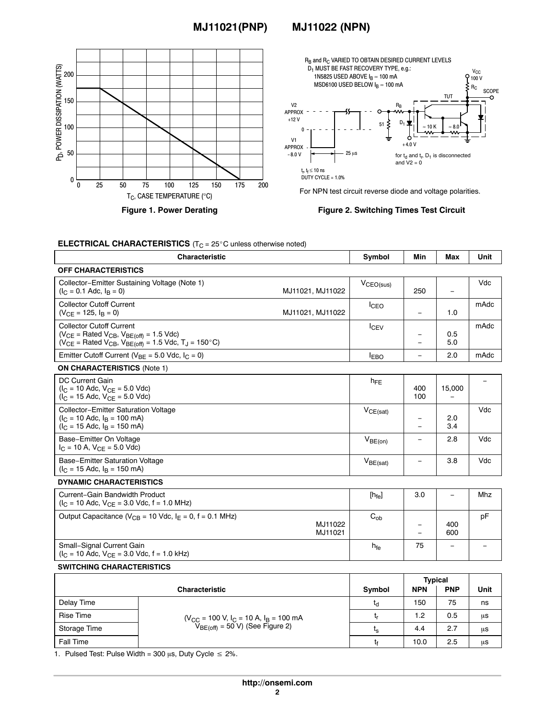#### **MJ11021(PNP) MJ11022 (NPN)**





For NPN test circuit reverse diode and voltage polarities.

**Figure 2. Switching Times Test Circuit**

h<sub>fe</sub> | 75 | − | −

| <b>ELECTRICAL CHARACTERISTICS</b> ( $T_C = 25^\circ$ C unless otherwise noted) |  |
|--------------------------------------------------------------------------------|--|
|                                                                                |  |

| <b>Characteristic</b>                                                                                                                                                     |                    | Symbol            | Min               | Max                      | Unit |
|---------------------------------------------------------------------------------------------------------------------------------------------------------------------------|--------------------|-------------------|-------------------|--------------------------|------|
| <b>OFF CHARACTERISTICS</b>                                                                                                                                                |                    |                   |                   |                          |      |
| Collector-Emitter Sustaining Voltage (Note 1)<br>$(I_C = 0.1$ Adc, $I_B = 0$ )                                                                                            | MJ11021, MJ11022   | $V_{CEO(sus)}$    | 250               | $\overline{\phantom{0}}$ | Vdc  |
| <b>Collector Cutoff Current</b><br>$(V_{CF} = 125, IB = 0)$                                                                                                               | MJ11021, MJ11022   | <b>I</b> CEO      | $\qquad \qquad -$ | 1.0                      | mAdc |
| <b>Collector Cutoff Current</b><br>$(V_{CE}$ = Rated $V_{CB}$ , $V_{BE(off)}$ = 1.5 Vdc)<br>$(V_{CE}$ = Rated $V_{CB}$ , $V_{BE(off)}$ = 1.5 Vdc, T <sub>J</sub> = 150°C) |                    | <b>I</b> CEV      |                   | 0.5<br>5.0               | mAdc |
| Emitter Cutoff Current ( $V_{BE}$ = 5.0 Vdc, $I_C$ = 0)                                                                                                                   |                    | <b>EBO</b>        |                   | 2.0                      | mAdc |
| <b>ON CHARACTERISTICS (Note 1)</b>                                                                                                                                        |                    |                   |                   |                          |      |
| DC Current Gain<br>$(I_C = 10$ Adc, $V_{CE} = 5.0$ Vdc)<br>$(I_C = 15$ Adc, $V_{CF} = 5.0$ Vdc)                                                                           |                    | $h_{FE}$          | 400<br>100        | 15,000                   |      |
| <b>Collector-Emitter Saturation Voltage</b><br>$(I_C = 10$ Adc, $I_R = 100$ mA)<br>$(I_C = 15$ Adc, $I_B = 150$ mA)                                                       |                    | $V_{CE(sat)}$     |                   | 2.0<br>3.4               | Vdc  |
| Base-Emitter On Voltage<br>$I_C = 10$ A, $V_{CF} = 5.0$ Vdc)                                                                                                              |                    | $V_{BE(on)}$      |                   | 2.8                      | Vdc  |
| Base-Emitter Saturation Voltage<br>$(I_C = 15$ Adc, $I_R = 150$ mA)                                                                                                       |                    | $V_{BE(sat)}$     |                   | 3.8                      | Vdc  |
| <b>DYNAMIC CHARACTERISTICS</b>                                                                                                                                            |                    |                   |                   |                          |      |
| Current-Gain Bandwidth Product<br>$(I_C = 10$ Adc, $V_{CF} = 3.0$ Vdc, f = 1.0 MHz)                                                                                       |                    | $[h_{\text{fe}}]$ | 3.0               | $\qquad \qquad \qquad$   | Mhz  |
| Output Capacitance ( $V_{CB}$ = 10 Vdc, $I_E$ = 0, f = 0.1 MHz)                                                                                                           | MJ11022<br>MJ11021 | $C_{\alpha b}$    |                   | 400<br>600               | pF   |

#### **SWITCHING CHARACTERISTICS**

 $(I_C = 10$  Adc,  $V_{CE} = 3.0$  Vdc,  $f = 1.0$  kHz)

Small−Signal Current Gain

|                       |                                                                                    |                | <b>Typical</b> |            |      |
|-----------------------|------------------------------------------------------------------------------------|----------------|----------------|------------|------|
| <b>Characteristic</b> |                                                                                    | Symbol         | <b>NPN</b>     | <b>PNP</b> | Unit |
| Delay Time            |                                                                                    | ιq             | 150            | 75         | ns   |
| <b>Rise Time</b>      | $(V_{CC} = 100 V, I_C = 10 A, I_B = 100 mA$<br>$V_{BE(off)} = 50 V$ (See Figure 2) | L۳             | 2. ا           | 0.5        | μs   |
| Storage Time          |                                                                                    | ւ <sub>s</sub> | 4.4            | 2.7        | μs   |
| <b>Fall Time</b>      |                                                                                    | I٤             | 10.0           | 2.5        | μs   |

1. Pulsed Test: Pulse Width = 300  $\mu$ s, Duty Cycle  $\leq 2\%$ .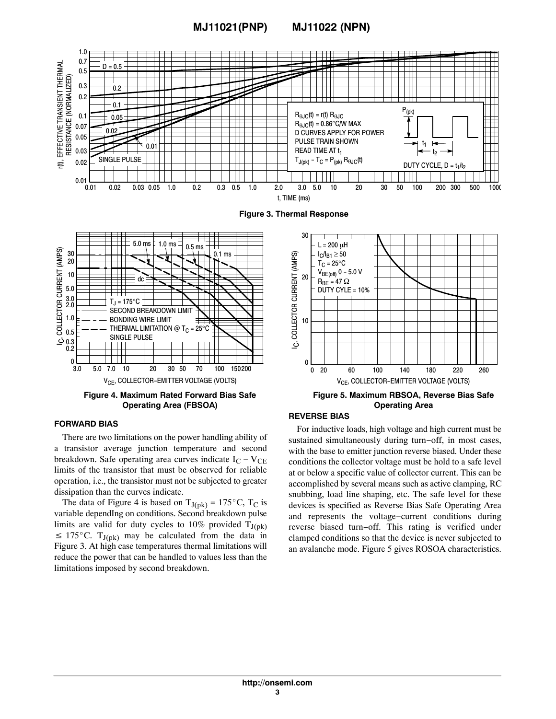#### **MJ11021(PNP) MJ11022 (NPN)**



V<sub>CF</sub>, COLLECTOR-EMITTER VOLTAGE (VOLTS) 3.0 50 100 5.0 10 20 200 7.0 30 70 150

**Figure 4. Maximum Rated Forward Bias Safe Operating Area (FBSOA)**

#### **FORWARD BIAS**

There are two limitations on the power handling ability of a transistor average junction temperature and second breakdown. Safe operating area curves indicate  $I_C - V_{CE}$ limits of the transistor that must be observed for reliable operation, i.e., the transistor must not be subjected to greater dissipation than the curves indicate. Example 1. Solution than the curves indicate.<br>The data of Figure 4 is based on  $T_{J(pk)} = 175^{\circ}C$ , T<sub>C</sub> is

variable dependIng on conditions. Second breakdown pulse limits are valid for duty cycles to 10% provided  $T_{J(pk)}$ limits are valid for duty cycles to 10% provided  $T_{J(pk)} \le 175^{\circ}$ C.  $T_{J(pk)}$  may be calculated from the data in Figure 3. At high case temperatures thermal limitations will reduce the power that can be handled to values less than the limitations imposed by second breakdown.

#### V<sub>CE</sub>, COLLECTOR-EMITTER VOLTAGE (VOLTS) **Figure 5. Maximum RBSOA, Reverse Bias Safe Operating Area**

0 180 220 20 100 140 260 60

#### **REVERSE BIAS**

0

For inductive loads, high voltage and high current must be sustained simultaneously during turn−off, in most cases, with the base to emitter junction reverse biased. Under these conditions the collector voltage must be hold to a safe level at or below a specific value of collector current. This can be accomplished by several means such as active clamping, RC snubbing, load line shaping, etc. The safe level for these devices is specified as Reverse Bias Safe Operating Area and represents the voltage−current conditions during reverse biased turn−off. This rating is verified under clamped conditions so that the device is never subjected to an avalanche mode. Figure 5 gives ROSOA characteristics.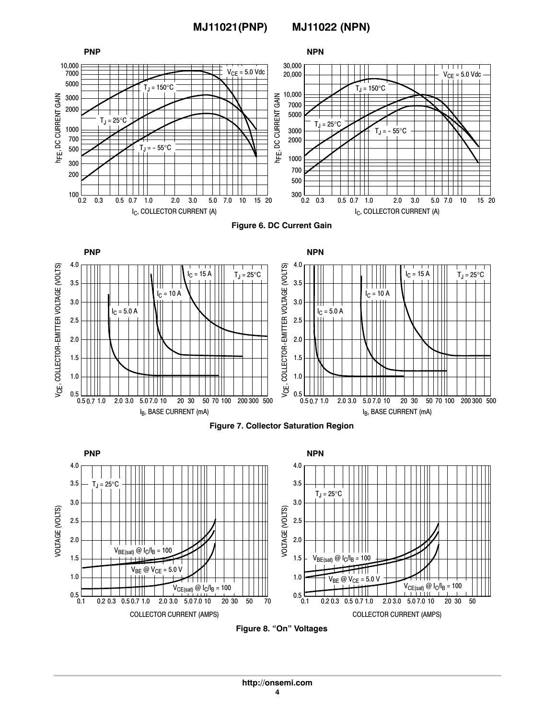

**Figure 8. "On" Voltages**